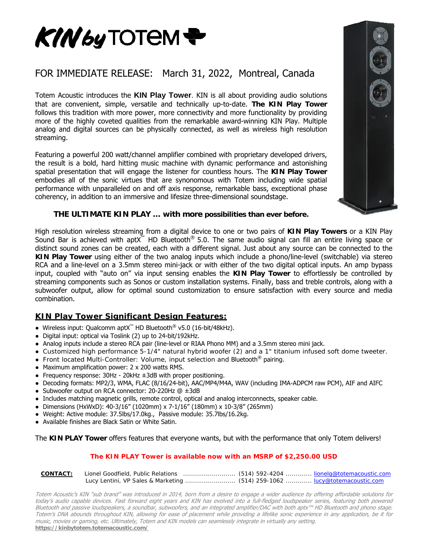

### FOR IMMEDIATE RELEASE: March 31, 2022, Montreal, Canada

Totem Acoustic introduces the **KIN Play Tower**. KIN is all about providing audio solutions that are convenient, simple, versatile and technically up-to-date. **The KIN Play Tower** follows this tradition with more power, more connectivity and more functionality by providing more of the highly coveted qualities from the remarkable award-winning KIN Play. Multiple analog and digital sources can be physically connected, as well as wireless high resolution streaming.

Featuring a powerful 200 watt/channel amplifier combined with proprietary developed drivers, the result is a bold, hard hitting music machine with dynamic performance and astonishing spatial presentation that will engage the listener for countless hours. The **KIN Play Tower** embodies all of the sonic virtues that are synonomous with Totem including wide spatial performance with unparalleled on and off axis response, remarkable bass, exceptional phase coherency, in addition to an immersive and lifesize three-dimensional soundstage.

#### **THE ULTIMATE KIN PLAY … with more possibilities than ever before.**

High resolution wireless streaming from a digital device to one or two pairs of **KIN Play Towers** or a KIN Play Sound Bar is achieved with aptX<sup>™</sup> HD Bluetooth<sup>®</sup> 5.0. The same audio signal can fill an entire living space or distinct sound zones can be created, each with a different signal. Just about any source can be connected to the **KIN Play Tower** using either of the two analog inputs which include a phono/line-level (switchable) via stereo RCA and a line-level on a 3.5mm stereo mini-jack or with either of the two digital optical inputs. An amp bypass input, coupled with "auto on" via input sensing enables the **KIN Play Tower** to effortlessly be controlled by streaming components such as Sonos or custom installation systems. Finally, bass and treble controls, along with a subwoofer output, allow for optimal sound customization to ensure satisfaction with every source and media combination.

#### **KIN Play Tower Significant Design Features:**

- Wireless input: Qualcomm aptX™ HD Bluetooth® v5.0 (16-bit/48kHz).
- Digital input: optical via Toslink (2) up to 24-bit/192kHz.
- Analog inputs include a stereo RCA pair (line-level or RIAA Phono MM) and a 3.5mm stereo mini jack.
- Customized high performance 5-1/4" natural hybrid woofer (2) and a 1" titanium infused soft dome tweeter.
- Front located Multi-Controller: Volume, input selection and Bluetooth<sup>®</sup> pairing.
- Maximum amplification power: 2 x 200 watts RMS.
- Frequency response:  $30Hz 20kHz \pm 3dB$  with proper positioning.
- Decoding formats: MP2/3, WMA, FLAC (8/16/24-bit), AAC/MP4/M4A, WAV (including IMA-ADPCM raw PCM), AIF and AIFC
- Subwoofer output on RCA connector: 20-220Hz @ ±3dB
- Includes matching magnetic grills, remote control, optical and analog interconnects, speaker cable.
- Dimensions (HxWxD): 40-3/16" (1020mm) x 7-1/16" (180mm) x 10-3/8" (265mm)
- Weight: Active module: 37.5lbs/17.0kg., Passive module: 35.7lbs/16.2kg.
- Available finishes are Black Satin or White Satin.

#### The **KIN PLAY Tower** offers features that everyone wants, but with the performance that only Totem delivers!

#### **The KIN PLAY Tower is available now with an MSRP of \$2,250.00 USD**

| <b>CONTACT:</b> | Lionel Goodfield, Public Relations members (514) 592-4204 members in lionelg@totemacoustic.com |  |
|-----------------|------------------------------------------------------------------------------------------------|--|
|                 | Lucy Lentini, VP Sales & Marketing  (514) 259-1062  lucy@totemacoustic.com                     |  |

Totem Acoustic's KIN "sub brand" was introduced in 2014, born from a desire to engage a wider audience by offering affordable solutions for today's audio capable devices. Fast forward eight years and KIN has evolved into a full-fledged loudspeaker series, featuring both powered Bluetooth and passive loudspeakers, a soundbar, subwoofers, and an integrated amplifier/DAC with both aptx™ HD Bluetooth and phono stage. Totem's DNA abounds throughout KIN, allowing for ease of placement while providing a lifelike sonic experience in any application, be it for music, movies or gaming, etc. Ultimately, Totem and KIN models can seamlessly integrate in virtually any setting. **<https://kinbytotem.totemacoustic.com/>**